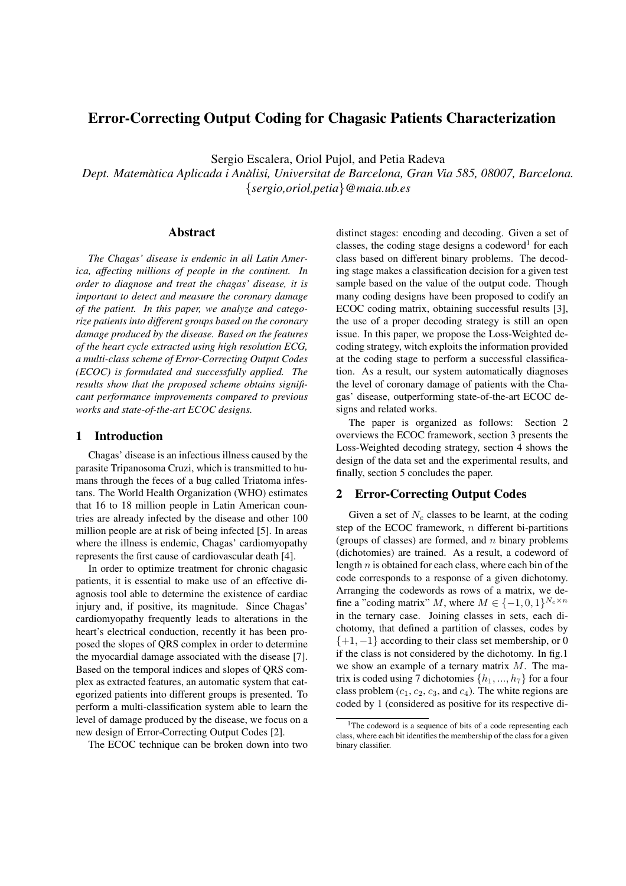# Error-Correcting Output Coding for Chagasic Patients Characterization

Sergio Escalera, Oriol Pujol, and Petia Radeva

*Dept. Matematica Aplicada i An ` alisi, Universitat de Barcelona, Gran Via 585, 08007, Barcelona. `* {*sergio,oriol,petia*}*@maia.ub.es*

#### Abstract

*The Chagas' disease is endemic in all Latin America, affecting millions of people in the continent. In order to diagnose and treat the chagas' disease, it is important to detect and measure the coronary damage of the patient. In this paper, we analyze and categorize patients into different groups based on the coronary damage produced by the disease. Based on the features of the heart cycle extracted using high resolution ECG, a multi-class scheme of Error-Correcting Output Codes (ECOC) is formulated and successfully applied. The results show that the proposed scheme obtains significant performance improvements compared to previous works and state-of-the-art ECOC designs.*

## 1 Introduction

Chagas' disease is an infectious illness caused by the parasite Tripanosoma Cruzi, which is transmitted to humans through the feces of a bug called Triatoma infestans. The World Health Organization (WHO) estimates that 16 to 18 million people in Latin American countries are already infected by the disease and other 100 million people are at risk of being infected [5]. In areas where the illness is endemic, Chagas' cardiomyopathy represents the first cause of cardiovascular death [4].

In order to optimize treatment for chronic chagasic patients, it is essential to make use of an effective diagnosis tool able to determine the existence of cardiac injury and, if positive, its magnitude. Since Chagas' cardiomyopathy frequently leads to alterations in the heart's electrical conduction, recently it has been proposed the slopes of QRS complex in order to determine the myocardial damage associated with the disease [7]. Based on the temporal indices and slopes of QRS complex as extracted features, an automatic system that categorized patients into different groups is presented. To perform a multi-classification system able to learn the level of damage produced by the disease, we focus on a new design of Error-Correcting Output Codes [2].

The ECOC technique can be broken down into two

distinct stages: encoding and decoding. Given a set of classes, the coding stage designs a codeword<sup>1</sup> for each class based on different binary problems. The decoding stage makes a classification decision for a given test sample based on the value of the output code. Though many coding designs have been proposed to codify an ECOC coding matrix, obtaining successful results [3], the use of a proper decoding strategy is still an open issue. In this paper, we propose the Loss-Weighted decoding strategy, witch exploits the information provided at the coding stage to perform a successful classification. As a result, our system automatically diagnoses the level of coronary damage of patients with the Chagas' disease, outperforming state-of-the-art ECOC designs and related works.

The paper is organized as follows: Section 2 overviews the ECOC framework, section 3 presents the Loss-Weighted decoding strategy, section 4 shows the design of the data set and the experimental results, and finally, section 5 concludes the paper.

## 2 Error-Correcting Output Codes

Given a set of  $N_c$  classes to be learnt, at the coding step of the ECOC framework,  $n$  different bi-partitions (groups of classes) are formed, and  $n$  binary problems (dichotomies) are trained. As a result, a codeword of length  $n$  is obtained for each class, where each bin of the code corresponds to a response of a given dichotomy. Arranging the codewords as rows of a matrix, we define a "coding matrix" M, where  $M \in \{-1, 0, 1\}^{N_c \times n}$ in the ternary case. Joining classes in sets, each dichotomy, that defined a partition of classes, codes by  $\{+1, -1\}$  according to their class set membership, or 0 if the class is not considered by the dichotomy. In fig.1 we show an example of a ternary matrix  $M$ . The matrix is coded using 7 dichotomies  $\{h_1, ..., h_7\}$  for a four class problem  $(c_1, c_2, c_3, \text{ and } c_4)$ . The white regions are coded by 1 (considered as positive for its respective di-

<sup>&</sup>lt;sup>1</sup>The codeword is a sequence of bits of a code representing each class, where each bit identifies the membership of the class for a given binary classifier.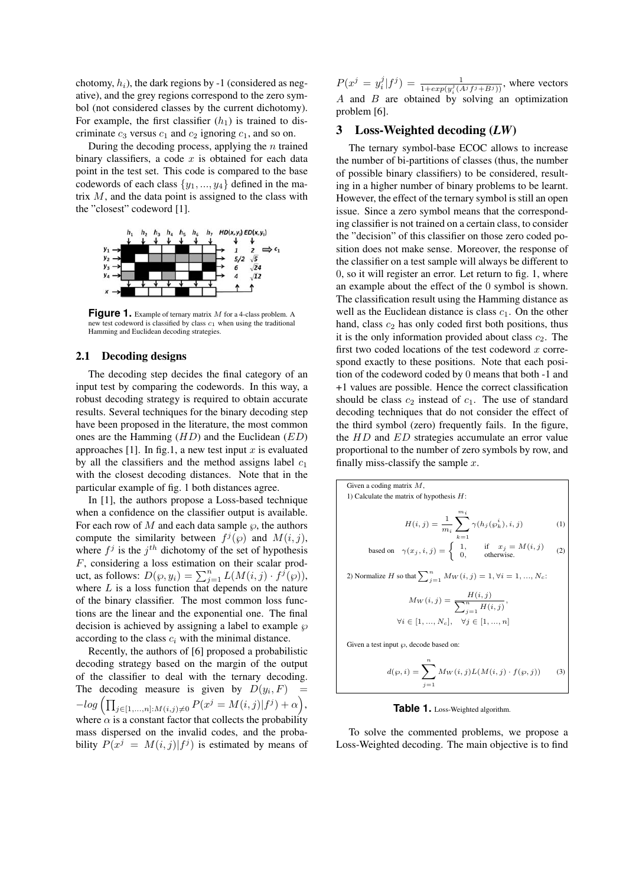chotomy,  $h_i$ ), the dark regions by -1 (considered as negative), and the grey regions correspond to the zero symbol (not considered classes by the current dichotomy). For example, the first classifier  $(h_1)$  is trained to discriminate  $c_3$  versus  $c_1$  and  $c_2$  ignoring  $c_1$ , and so on.

During the decoding process, applying the  $n$  trained binary classifiers, a code  $x$  is obtained for each data point in the test set. This code is compared to the base codewords of each class  $\{y_1, ..., y_4\}$  defined in the matrix  $M$ , and the data point is assigned to the class with the "closest" codeword [1].



Figure 1. Example of ternary matrix M for a 4-class problem. A new test codeword is classified by class  $c_1$  when using the traditional Hamming and Euclidean decoding strategies.

### 2.1 Decoding designs

The decoding step decides the final category of an input test by comparing the codewords. In this way, a robust decoding strategy is required to obtain accurate results. Several techniques for the binary decoding step have been proposed in the literature, the most common ones are the Hamming  $(HD)$  and the Euclidean  $(ED)$ approaches [1]. In fig.1, a new test input  $x$  is evaluated by all the classifiers and the method assigns label  $c_1$ with the closest decoding distances. Note that in the particular example of fig. 1 both distances agree.

In [1], the authors propose a Loss-based technique when a confidence on the classifier output is available. For each row of M and each data sample  $\varphi$ , the authors compute the similarity between  $f^j(\varphi)$  and  $M(i, j)$ , where  $f^j$  is the  $j<sup>th</sup>$  dichotomy of the set of hypothesis F, considering a loss estimation on their scalar product, as follows:  $D(\wp, y_i) = \sum_{j=1}^n L(M(i, j) \cdot f^j(\wp))$ ,<br>where L is a loss function that depends on the nature where  $L$  is a loss function that depends on the nature of the binary classifier. The most common loss functions are the linear and the exponential one. The final decision is achieved by assigning a label to example  $\wp$ according to the class  $c_i$  with the minimal distance.

Recently, the authors of [6] proposed a probabilistic decoding strategy based on the margin of the output of the classifier to deal with the ternary decoding. The decoding measure is given by  $D(y_i, F)$  =  $-log\left(\prod_{j\in[1,...,n]:M(i,j)\neq 0} P(x^j=M(i,j)|f^j)+\alpha\right),$ where  $\alpha$  is a constant factor that collects the probability mass dispersed on the invalid codes, and the probability  $P(x^j = M(i, j) | f^j)$  is estimated by means of

 $P(x^j = y_i^j | f^j) = \frac{1}{1 + exp(y_i^j (A^j f^j + B^j))}$ , where vectors A and B are obtained by solving an optimization problem [6].

### 3 Loss-Weighted decoding (*LW*)

The ternary symbol-base ECOC allows to increase the number of bi-partitions of classes (thus, the number of possible binary classifiers) to be considered, resulting in a higher number of binary problems to be learnt. However, the effect of the ternary symbol is still an open issue. Since a zero symbol means that the corresponding classifier is not trained on a certain class, to consider the "decision" of this classifier on those zero coded position does not make sense. Moreover, the response of the classifier on a test sample will always be different to 0, so it will register an error. Let return to fig. 1, where an example about the effect of the 0 symbol is shown. The classification result using the Hamming distance as well as the Euclidean distance is class  $c_1$ . On the other hand, class  $c_2$  has only coded first both positions, thus it is the only information provided about class  $c_2$ . The first two coded locations of the test codeword  $x$  correspond exactly to these positions. Note that each position of the codeword coded by 0 means that both -1 and +1 values are possible. Hence the correct classification should be class  $c_2$  instead of  $c_1$ . The use of standard decoding techniques that do not consider the effect of the third symbol (zero) frequently fails. In the figure, the HD and ED strategies accumulate an error value proportional to the number of zero symbols by row, and finally miss-classify the sample  $x$ .

Given a coding matrix M, 1) Calculate the matrix of hypothesis  $H$ :  $H(i, j) = \frac{1}{m_i} \sum^{m_i}$  $k=1$  $\gamma(h_j(\varphi_k^i), i, j)$  (1) based on  $\gamma(x_j, i, j) = \begin{cases} 1, & \text{if } x_j = M(i, j) \\ 0, & \text{otherwise.} \end{cases}$  (2) 2) Normalize H so that  $\sum_{j=1}^{n} M_W(i, j) = 1, \forall i = 1, ..., N_c$ :  $M_W(i, j) = \frac{H(i, j)}{\sum_{j=1}^{n} H(i, j)},$  $\forall i \in [1, ..., N_c], \quad \forall j \in [1, ..., n]$ Given a test input  $\wp$ , decode based on:

 $d(\varphi, i) = \sum^{n}$  $j=1$  $M_W(i, j)L(M(i, j) \cdot f(\wp, j))$  (3)

**Table 1.** Loss-Weighted algorithm.

To solve the commented problems, we propose a Loss-Weighted decoding. The main objective is to find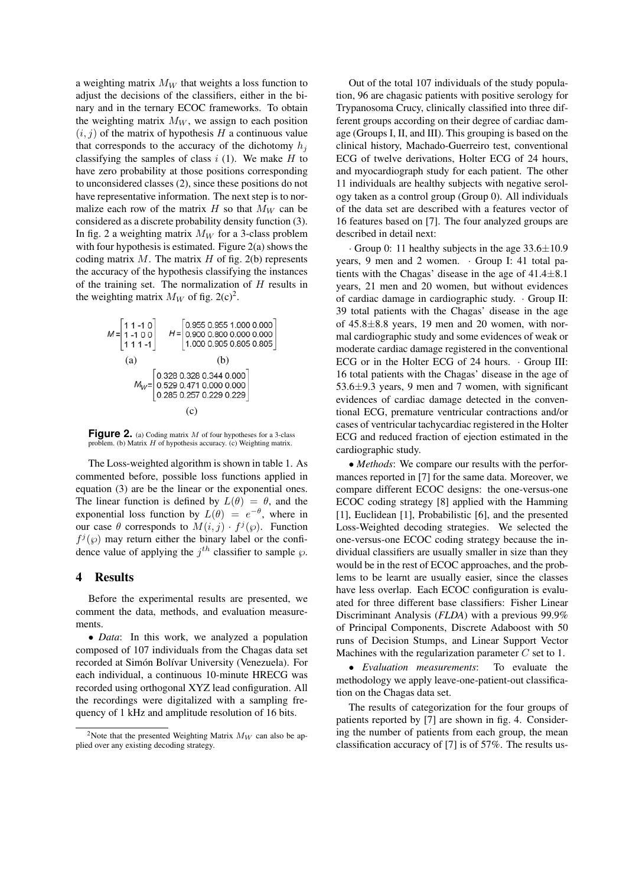a weighting matrix  $M_W$  that weights a loss function to adjust the decisions of the classifiers, either in the binary and in the ternary ECOC frameworks. To obtain the weighting matrix  $M_W$ , we assign to each position  $(i, j)$  of the matrix of hypothesis H a continuous value that corresponds to the accuracy of the dichotomy  $h_i$ classifying the samples of class  $i$  (1). We make H to have zero probability at those positions corresponding to unconsidered classes (2), since these positions do not have representative information. The next step is to normalize each row of the matrix H so that  $M_W$  can be considered as a discrete probability density function (3). In fig. 2 a weighting matrix  $M_W$  for a 3-class problem with four hypothesis is estimated. Figure 2(a) shows the coding matrix  $M$ . The matrix  $H$  of fig. 2(b) represents the accuracy of the hypothesis classifying the instances of the training set. The normalization of  $H$  results in the weighting matrix  $M_W$  of fig. 2(c)<sup>2</sup>.

$$
M = \begin{bmatrix} 1 & 1 & -1 & 0 \\ 1 & -1 & 0 & 0 \\ 1 & 1 & 1 & -1 \end{bmatrix} \quad H = \begin{bmatrix} 0.955 & 0.955 & 1.000 & 0.000 \\ 0.900 & 0.800 & 0.000 & 0.000 \\ 1.000 & 0.905 & 0.805 & 0.805 \end{bmatrix}
$$
  
(a) (b)  

$$
M_W = \begin{bmatrix} 0.328 & 0.328 & 0.344 & 0.000 \\ 0.529 & 0.471 & 0.000 & 0.000 \\ 0.285 & 0.257 & 0.229 & 0.229 \end{bmatrix}
$$
  
(c)

**Figure 2.** (a) Coding matrix M of four hypotheses for a 3-class problem. (b) Matrix H of hypothesis accuracy. (c) Weighting matrix.

The Loss-weighted algorithm is shown in table 1. As commented before, possible loss functions applied in equation (3) are be the linear or the exponential ones. The linear function is defined by  $L(\theta) = \theta$ , and the exponential loss function by  $L(\theta) = e^{-\theta}$ , where in our case  $\theta$  corresponds to  $M(i, j) \cdot f^{j}(\varphi)$ . Function  $f^j(\varphi)$  may return either the binary label or the confidence value of applying the  $j<sup>th</sup>$  classifier to sample  $\wp$ .

#### 4 Results

Before the experimental results are presented, we comment the data, methods, and evaluation measurements.

• *Data*: In this work, we analyzed a population composed of 107 individuals from the Chagas data set recorded at Simón Bolívar University (Venezuela). For each individual, a continuous 10-minute HRECG was recorded using orthogonal XYZ lead configuration. All the recordings were digitalized with a sampling frequency of 1 kHz and amplitude resolution of 16 bits.

Out of the total 107 individuals of the study population, 96 are chagasic patients with positive serology for Trypanosoma Crucy, clinically classified into three different groups according on their degree of cardiac damage (Groups I, II, and III). This grouping is based on the clinical history, Machado-Guerreiro test, conventional ECG of twelve derivations, Holter ECG of 24 hours, and myocardiograph study for each patient. The other 11 individuals are healthy subjects with negative serology taken as a control group (Group 0). All individuals of the data set are described with a features vector of 16 features based on [7]. The four analyzed groups are described in detail next:

 $\cdot$  Group 0: 11 healthy subjects in the age 33.6 $\pm$ 10.9 years, 9 men and 2 women. · Group I: 41 total patients with the Chagas' disease in the age of  $41.4 \pm 8.1$ years, 21 men and 20 women, but without evidences of cardiac damage in cardiographic study. · Group II: 39 total patients with the Chagas' disease in the age of  $45.8 \pm 8.8$  years, 19 men and 20 women, with normal cardiographic study and some evidences of weak or moderate cardiac damage registered in the conventional ECG or in the Holter ECG of 24 hours. · Group III: 16 total patients with the Chagas' disease in the age of  $53.6\pm9.3$  years, 9 men and 7 women, with significant evidences of cardiac damage detected in the conventional ECG, premature ventricular contractions and/or cases of ventricular tachycardiac registered in the Holter ECG and reduced fraction of ejection estimated in the cardiographic study.

• *Methods*: We compare our results with the performances reported in [7] for the same data. Moreover, we compare different ECOC designs: the one-versus-one ECOC coding strategy [8] applied with the Hamming [1], Euclidean [1], Probabilistic [6], and the presented Loss-Weighted decoding strategies. We selected the one-versus-one ECOC coding strategy because the individual classifiers are usually smaller in size than they would be in the rest of ECOC approaches, and the problems to be learnt are usually easier, since the classes have less overlap. Each ECOC configuration is evaluated for three different base classifiers: Fisher Linear Discriminant Analysis (*FLDA*) with a previous 99.9% of Principal Components, Discrete Adaboost with 50 runs of Decision Stumps, and Linear Support Vector Machines with the regularization parameter  $C$  set to 1.<br>• Evaluation measurements: To evaluate the

• *Evaluation measurements*: methodology we apply leave-one-patient-out classification on the Chagas data set.

The results of categorization for the four groups of patients reported by [7] are shown in fig. 4. Considering the number of patients from each group, the mean classification accuracy of [7] is of 57%. The results us-

<sup>&</sup>lt;sup>2</sup>Note that the presented Weighting Matrix  $M_W$  can also be applied over any existing decoding strategy.